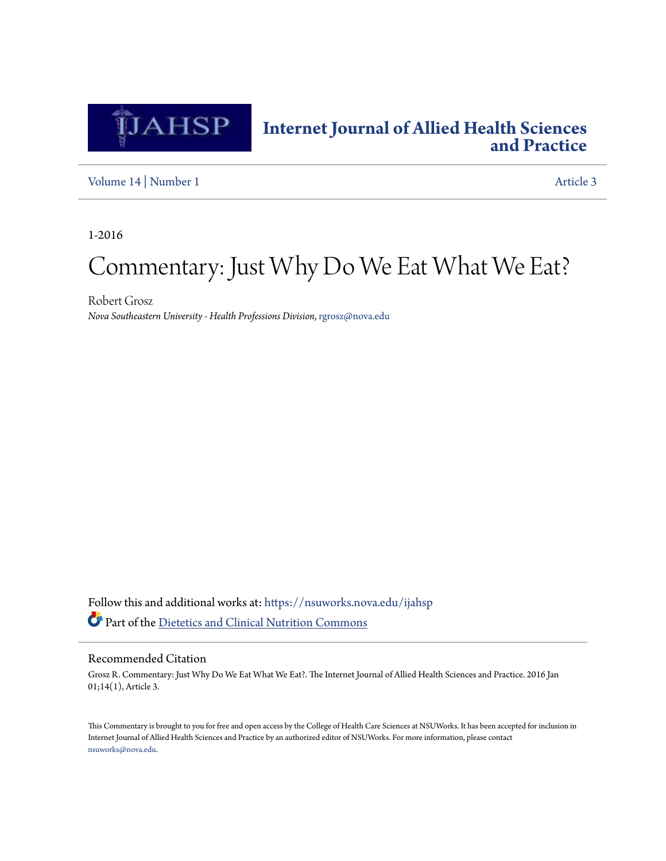

## **[Internet Journal of Allied Health Sciences](https://nsuworks.nova.edu/ijahsp?utm_source=nsuworks.nova.edu%2Fijahsp%2Fvol14%2Fiss1%2F3&utm_medium=PDF&utm_campaign=PDFCoverPages) [and Practice](https://nsuworks.nova.edu/ijahsp?utm_source=nsuworks.nova.edu%2Fijahsp%2Fvol14%2Fiss1%2F3&utm_medium=PDF&utm_campaign=PDFCoverPages)**

[Volume 14](https://nsuworks.nova.edu/ijahsp/vol14?utm_source=nsuworks.nova.edu%2Fijahsp%2Fvol14%2Fiss1%2F3&utm_medium=PDF&utm_campaign=PDFCoverPages) | [Number 1](https://nsuworks.nova.edu/ijahsp/vol14/iss1?utm_source=nsuworks.nova.edu%2Fijahsp%2Fvol14%2Fiss1%2F3&utm_medium=PDF&utm_campaign=PDFCoverPages) [Article 3](https://nsuworks.nova.edu/ijahsp/vol14/iss1/3?utm_source=nsuworks.nova.edu%2Fijahsp%2Fvol14%2Fiss1%2F3&utm_medium=PDF&utm_campaign=PDFCoverPages)

1-2016

# Commentary: Just Why Do We Eat What We Eat?

Robert Grosz *Nova Southeastern University - Health Professions Division*, rgrosz@nova.edu

Follow this and additional works at: [https://nsuworks.nova.edu/ijahsp](https://nsuworks.nova.edu/ijahsp?utm_source=nsuworks.nova.edu%2Fijahsp%2Fvol14%2Fiss1%2F3&utm_medium=PDF&utm_campaign=PDFCoverPages) Part of the [Dietetics and Clinical Nutrition Commons](http://network.bepress.com/hgg/discipline/662?utm_source=nsuworks.nova.edu%2Fijahsp%2Fvol14%2Fiss1%2F3&utm_medium=PDF&utm_campaign=PDFCoverPages)

#### Recommended Citation

Grosz R. Commentary: Just Why Do We Eat What We Eat?. The Internet Journal of Allied Health Sciences and Practice. 2016 Jan 01;14(1), Article 3.

This Commentary is brought to you for free and open access by the College of Health Care Sciences at NSUWorks. It has been accepted for inclusion in Internet Journal of Allied Health Sciences and Practice by an authorized editor of NSUWorks. For more information, please contact [nsuworks@nova.edu.](mailto:nsuworks@nova.edu)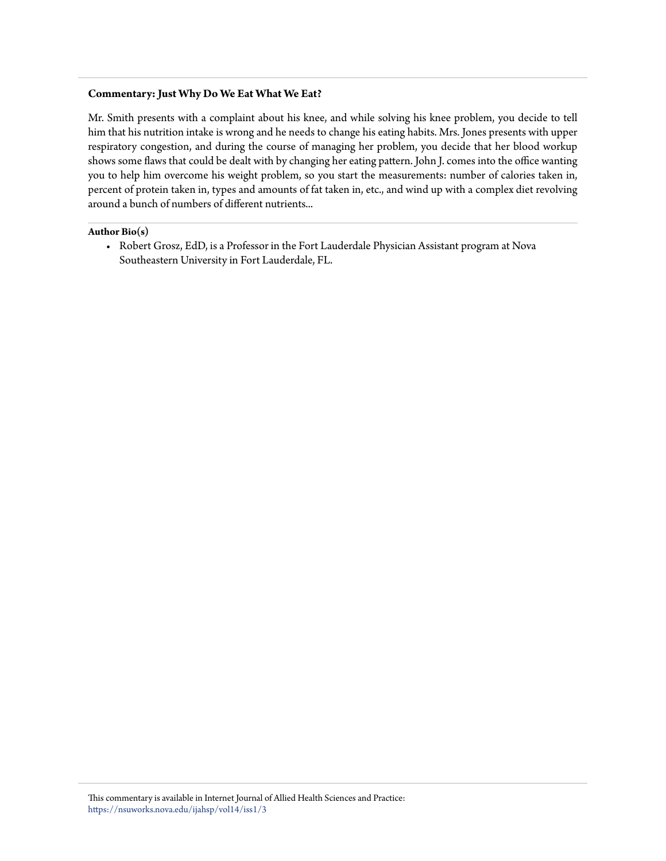#### **Commentary: Just Why Do We Eat What We Eat?**

Mr. Smith presents with a complaint about his knee, and while solving his knee problem, you decide to tell him that his nutrition intake is wrong and he needs to change his eating habits. Mrs. Jones presents with upper respiratory congestion, and during the course of managing her problem, you decide that her blood workup shows some flaws that could be dealt with by changing her eating pattern. John J. comes into the office wanting you to help him overcome his weight problem, so you start the measurements: number of calories taken in, percent of protein taken in, types and amounts of fat taken in, etc., and wind up with a complex diet revolving around a bunch of numbers of different nutrients...

#### **Author Bio(s)**

• Robert Grosz, EdD, is a Professor in the Fort Lauderdale Physician Assistant program at Nova Southeastern University in Fort Lauderdale, FL.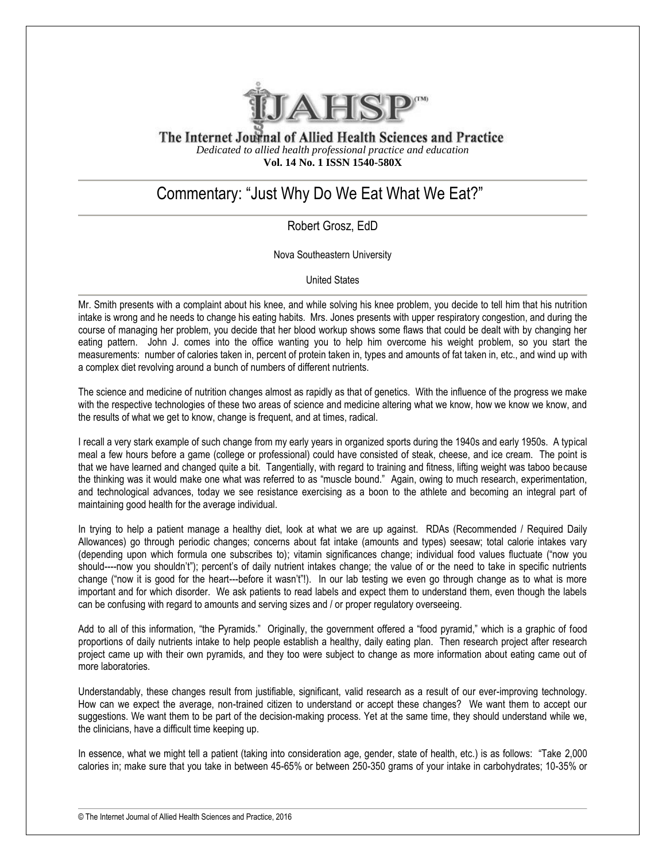

The Internet Journal of Allied Health Sciences and Practice *Dedicated to allied health professional practice and education* **Vol. 14 No. 1 ISSN 1540-580X**

## Commentary: "Just Why Do We Eat What We Eat?"

### Robert Grosz, EdD

Nova Southeastern University

United States

Mr. Smith presents with a complaint about his knee, and while solving his knee problem, you decide to tell him that his nutrition intake is wrong and he needs to change his eating habits. Mrs. Jones presents with upper respiratory congestion, and during the course of managing her problem, you decide that her blood workup shows some flaws that could be dealt with by changing her eating pattern. John J. comes into the office wanting you to help him overcome his weight problem, so you start the measurements: number of calories taken in, percent of protein taken in, types and amounts of fat taken in, etc., and wind up with a complex diet revolving around a bunch of numbers of different nutrients.

The science and medicine of nutrition changes almost as rapidly as that of genetics. With the influence of the progress we make with the respective technologies of these two areas of science and medicine altering what we know, how we know we know, and the results of what we get to know, change is frequent, and at times, radical.

I recall a very stark example of such change from my early years in organized sports during the 1940s and early 1950s. A typical meal a few hours before a game (college or professional) could have consisted of steak, cheese, and ice cream. The point is that we have learned and changed quite a bit. Tangentially, with regard to training and fitness, lifting weight was taboo because the thinking was it would make one what was referred to as "muscle bound." Again, owing to much research, experimentation, and technological advances, today we see resistance exercising as a boon to the athlete and becoming an integral part of maintaining good health for the average individual.

In trying to help a patient manage a healthy diet, look at what we are up against. RDAs (Recommended / Required Daily Allowances) go through periodic changes; concerns about fat intake (amounts and types) seesaw; total calorie intakes vary (depending upon which formula one subscribes to); vitamin significances change; individual food values fluctuate ("now you should----now you shouldn't"); percent's of daily nutrient intakes change; the value of or the need to take in specific nutrients change ("now it is good for the heart---before it wasn't"!). In our lab testing we even go through change as to what is more important and for which disorder. We ask patients to read labels and expect them to understand them, even though the labels can be confusing with regard to amounts and serving sizes and / or proper regulatory overseeing.

Add to all of this information, "the Pyramids." Originally, the government offered a "food pyramid," which is a graphic of food proportions of daily nutrients intake to help people establish a healthy, daily eating plan. Then research project after research project came up with their own pyramids, and they too were subject to change as more information about eating came out of more laboratories.

Understandably, these changes result from justifiable, significant, valid research as a result of our ever-improving technology. How can we expect the average, non-trained citizen to understand or accept these changes? We want them to accept our suggestions. We want them to be part of the decision-making process. Yet at the same time, they should understand while we, the clinicians, have a difficult time keeping up.

In essence, what we might tell a patient (taking into consideration age, gender, state of health, etc.) is as follows: "Take 2,000 calories in; make sure that you take in between 45-65% or between 250-350 grams of your intake in carbohydrates; 10-35% or